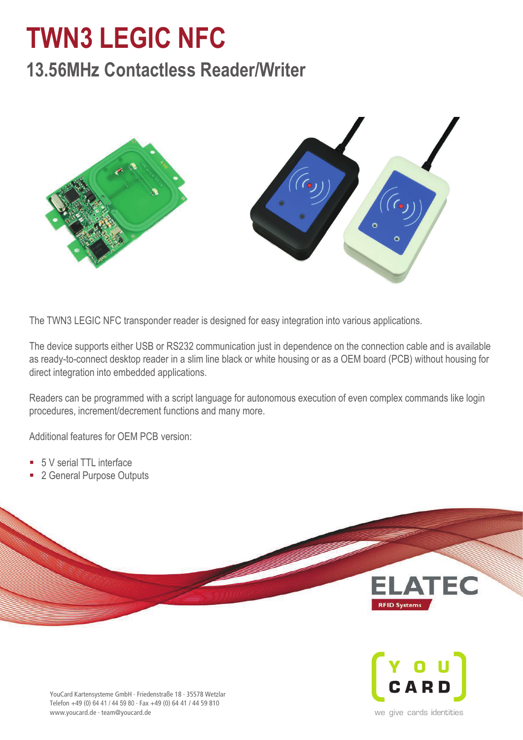## **TWN3 LEGIC NFC TWN3 LEGIC NFC**

## **13.56MHz Contactless Reader/Writer 13.56MHz Contactless Reader**



The TWN3 LEGIC NFC transponder reader is designed for easy integration into various applications.

The device supports either USB or RS232 communication just in dependence on the connection cable and is available direct integration into embedded applications. as ready-to-connect desktop reader in a slim line black or white housing or as a OEM board (PCB) without housing for

Readers can be programmed with a script language for autonomous execution of even complex commands like login procedures, increment/decrement functions and many more.

as ready-to-connect desktop reader in a slim line black or white housing or as a OEM board (PCB) without housing for Additional features for OEM PCB version: direct integration into embedded applications.

- $\blacksquare$  5 V serial TTL interface Readers can be programmed with a script language for autonomous execution of even complex commands like login
- Readers can be programmed with a script language for autonomous execution of even complex complex complex common<br>Readership in the literature procedures, increment/decrement functions and many more. ■ 2 General Purpose Outputs